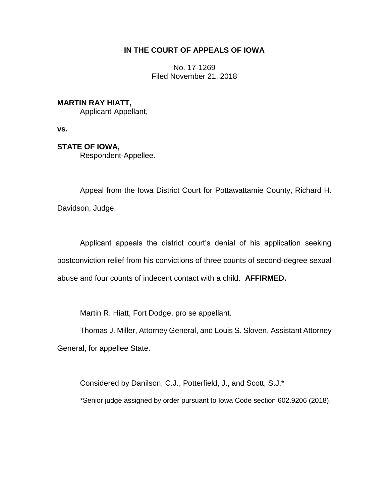# **IN THE COURT OF APPEALS OF IOWA**

No. 17-1269 Filed November 21, 2018

## **MARTIN RAY HIATT,**

Applicant-Appellant,

**vs.**

# **STATE OF IOWA,**

Respondent-Appellee.

Appeal from the Iowa District Court for Pottawattamie County, Richard H. Davidson, Judge.

\_\_\_\_\_\_\_\_\_\_\_\_\_\_\_\_\_\_\_\_\_\_\_\_\_\_\_\_\_\_\_\_\_\_\_\_\_\_\_\_\_\_\_\_\_\_\_\_\_\_\_\_\_\_\_\_\_\_\_\_\_\_\_\_

Applicant appeals the district court's denial of his application seeking postconviction relief from his convictions of three counts of second-degree sexual abuse and four counts of indecent contact with a child. **AFFIRMED.**

Martin R. Hiatt, Fort Dodge, pro se appellant.

Thomas J. Miller, Attorney General, and Louis S. Sloven, Assistant Attorney

General, for appellee State.

Considered by Danilson, C.J., Potterfield, J., and Scott, S.J.\*

\*Senior judge assigned by order pursuant to Iowa Code section 602.9206 (2018).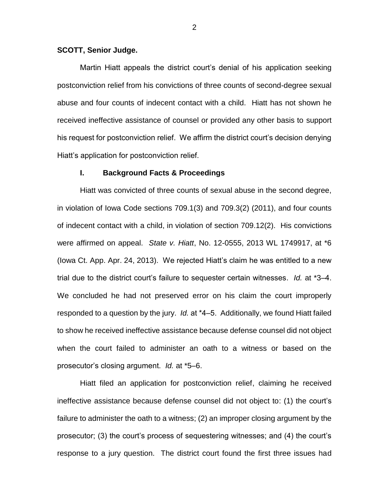### **SCOTT, Senior Judge.**

Martin Hiatt appeals the district court's denial of his application seeking postconviction relief from his convictions of three counts of second-degree sexual abuse and four counts of indecent contact with a child. Hiatt has not shown he received ineffective assistance of counsel or provided any other basis to support his request for postconviction relief. We affirm the district court's decision denying Hiatt's application for postconviction relief.

#### **I. Background Facts & Proceedings**

Hiatt was convicted of three counts of sexual abuse in the second degree, in violation of Iowa Code sections 709.1(3) and 709.3(2) (2011), and four counts of indecent contact with a child, in violation of section 709.12(2). His convictions were affirmed on appeal. *State v. Hiatt*, No. 12-0555, 2013 WL 1749917, at \*6 (Iowa Ct. App. Apr. 24, 2013). We rejected Hiatt's claim he was entitled to a new trial due to the district court's failure to sequester certain witnesses. *Id.* at \*3‒4. We concluded he had not preserved error on his claim the court improperly responded to a question by the jury. *Id.* at \*4–5. Additionally, we found Hiatt failed to show he received ineffective assistance because defense counsel did not object when the court failed to administer an oath to a witness or based on the prosecutor's closing argument. *Id.* at \*5‒6.

Hiatt filed an application for postconviction relief, claiming he received ineffective assistance because defense counsel did not object to: (1) the court's failure to administer the oath to a witness; (2) an improper closing argument by the prosecutor; (3) the court's process of sequestering witnesses; and (4) the court's response to a jury question. The district court found the first three issues had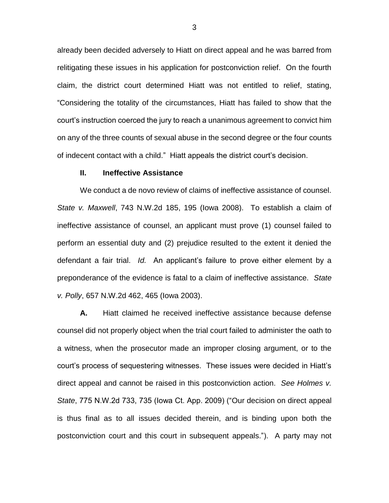already been decided adversely to Hiatt on direct appeal and he was barred from relitigating these issues in his application for postconviction relief. On the fourth claim, the district court determined Hiatt was not entitled to relief, stating, "Considering the totality of the circumstances, Hiatt has failed to show that the court's instruction coerced the jury to reach a unanimous agreement to convict him on any of the three counts of sexual abuse in the second degree or the four counts of indecent contact with a child." Hiatt appeals the district court's decision.

#### **II. Ineffective Assistance**

We conduct a de novo review of claims of ineffective assistance of counsel. *State v. Maxwell*, 743 N.W.2d 185, 195 (Iowa 2008). To establish a claim of ineffective assistance of counsel, an applicant must prove (1) counsel failed to perform an essential duty and (2) prejudice resulted to the extent it denied the defendant a fair trial. *Id.* An applicant's failure to prove either element by a preponderance of the evidence is fatal to a claim of ineffective assistance. *State v. Polly*, 657 N.W.2d 462, 465 (Iowa 2003).

**A.** Hiatt claimed he received ineffective assistance because defense counsel did not properly object when the trial court failed to administer the oath to a witness, when the prosecutor made an improper closing argument, or to the court's process of sequestering witnesses. These issues were decided in Hiatt's direct appeal and cannot be raised in this postconviction action. *See Holmes v. State*, 775 N.W.2d 733, 735 (Iowa Ct. App. 2009) ("Our decision on direct appeal is thus final as to all issues decided therein, and is binding upon both the postconviction court and this court in subsequent appeals."). A party may not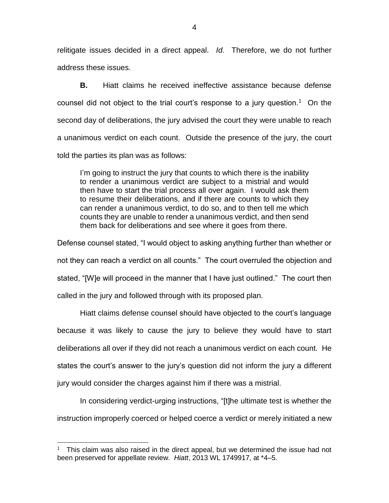relitigate issues decided in a direct appeal. *Id.* Therefore, we do not further address these issues.

**B.** Hiatt claims he received ineffective assistance because defense counsel did not object to the trial court's response to a jury question.<sup>1</sup> On the second day of deliberations, the jury advised the court they were unable to reach a unanimous verdict on each count. Outside the presence of the jury, the court told the parties its plan was as follows:

I'm going to instruct the jury that counts to which there is the inability to render a unanimous verdict are subject to a mistrial and would then have to start the trial process all over again. I would ask them to resume their deliberations, and if there are counts to which they can render a unanimous verdict, to do so, and to then tell me which counts they are unable to render a unanimous verdict, and then send them back for deliberations and see where it goes from there.

Defense counsel stated, "I would object to asking anything further than whether or not they can reach a verdict on all counts." The court overruled the objection and stated, "[W]e will proceed in the manner that I have just outlined." The court then called in the jury and followed through with its proposed plan.

Hiatt claims defense counsel should have objected to the court's language because it was likely to cause the jury to believe they would have to start deliberations all over if they did not reach a unanimous verdict on each count. He states the court's answer to the jury's question did not inform the jury a different jury would consider the charges against him if there was a mistrial.

In considering verdict-urging instructions, "[t]he ultimate test is whether the instruction improperly coerced or helped coerce a verdict or merely initiated a new

 $\overline{a}$ 

<sup>1</sup> This claim was also raised in the direct appeal, but we determined the issue had not been preserved for appellate review. Hiatt, 2013 WL 1749917, at \*4–5.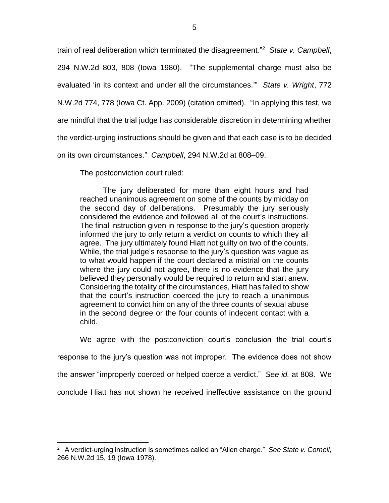train of real deliberation which terminated the disagreement." 2 *State v. Campbell*, 294 N.W.2d 803, 808 (Iowa 1980). "The supplemental charge must also be evaluated 'in its context and under all the circumstances.'" *State v. Wright*, 772 N.W.2d 774, 778 (Iowa Ct. App. 2009) (citation omitted). "In applying this test, we are mindful that the trial judge has considerable discretion in determining whether the verdict-urging instructions should be given and that each case is to be decided on its own circumstances." *Campbell*, 294 N.W.2d at 808–09.

The postconviction court ruled:

 $\overline{a}$ 

The jury deliberated for more than eight hours and had reached unanimous agreement on some of the counts by midday on the second day of deliberations. Presumably the jury seriously considered the evidence and followed all of the court's instructions. The final instruction given in response to the jury's question properly informed the jury to only return a verdict on counts to which they all agree. The jury ultimately found Hiatt not guilty on two of the counts. While, the trial judge's response to the jury's question was vague as to what would happen if the court declared a mistrial on the counts where the jury could not agree, there is no evidence that the jury believed they personally would be required to return and start anew. Considering the totality of the circumstances, Hiatt has failed to show that the court's instruction coerced the jury to reach a unanimous agreement to convict him on any of the three counts of sexual abuse in the second degree or the four counts of indecent contact with a child.

We agree with the postconviction court's conclusion the trial court's response to the jury's question was not improper. The evidence does not show the answer "improperly coerced or helped coerce a verdict." *See id.* at 808. We conclude Hiatt has not shown he received ineffective assistance on the ground

<sup>2</sup> A verdict-urging instruction is sometimes called an "Allen charge." *See State v. Cornell*, 266 N.W.2d 15, 19 (Iowa 1978).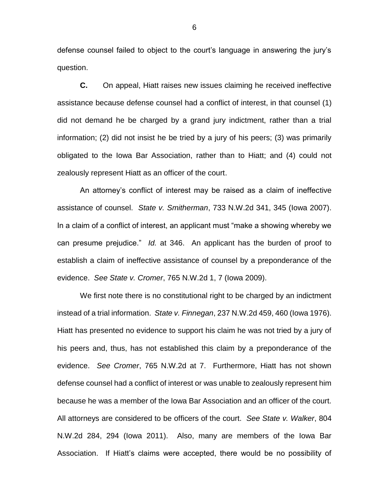defense counsel failed to object to the court's language in answering the jury's question.

**C.** On appeal, Hiatt raises new issues claiming he received ineffective assistance because defense counsel had a conflict of interest, in that counsel (1) did not demand he be charged by a grand jury indictment, rather than a trial information; (2) did not insist he be tried by a jury of his peers; (3) was primarily obligated to the Iowa Bar Association, rather than to Hiatt; and (4) could not zealously represent Hiatt as an officer of the court.

An attorney's conflict of interest may be raised as a claim of ineffective assistance of counsel. *State v. Smitherman*, 733 N.W.2d 341, 345 (Iowa 2007). In a claim of a conflict of interest, an applicant must "make a showing whereby we can presume prejudice." *Id.* at 346. An applicant has the burden of proof to establish a claim of ineffective assistance of counsel by a preponderance of the evidence. *See State v. Cromer*, 765 N.W.2d 1, 7 (Iowa 2009).

We first note there is no constitutional right to be charged by an indictment instead of a trial information. *State v. Finnegan*, 237 N.W.2d 459, 460 (Iowa 1976). Hiatt has presented no evidence to support his claim he was not tried by a jury of his peers and, thus, has not established this claim by a preponderance of the evidence. *See Cromer*, 765 N.W.2d at 7. Furthermore, Hiatt has not shown defense counsel had a conflict of interest or was unable to zealously represent him because he was a member of the Iowa Bar Association and an officer of the court. All attorneys are considered to be officers of the court. *See State v. Walker*, 804 N.W.2d 284, 294 (Iowa 2011). Also, many are members of the Iowa Bar Association. If Hiatt's claims were accepted, there would be no possibility of

6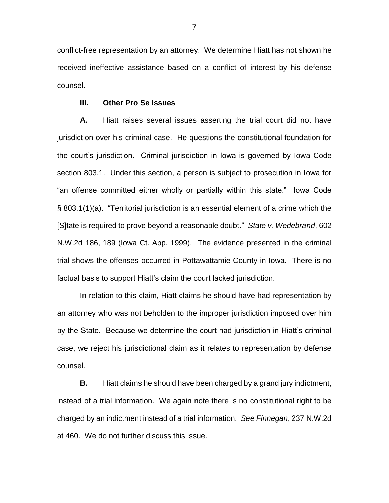conflict-free representation by an attorney. We determine Hiatt has not shown he received ineffective assistance based on a conflict of interest by his defense counsel.

#### **III. Other Pro Se Issues**

**A.** Hiatt raises several issues asserting the trial court did not have jurisdiction over his criminal case. He questions the constitutional foundation for the court's jurisdiction. Criminal jurisdiction in Iowa is governed by Iowa Code section 803.1. Under this section, a person is subject to prosecution in Iowa for "an offense committed either wholly or partially within this state." Iowa Code § 803.1(1)(a). "Territorial jurisdiction is an essential element of a crime which the [S]tate is required to prove beyond a reasonable doubt." *State v. Wedebrand*, 602 N.W.2d 186, 189 (Iowa Ct. App. 1999). The evidence presented in the criminal trial shows the offenses occurred in Pottawattamie County in Iowa. There is no factual basis to support Hiatt's claim the court lacked jurisdiction.

In relation to this claim, Hiatt claims he should have had representation by an attorney who was not beholden to the improper jurisdiction imposed over him by the State. Because we determine the court had jurisdiction in Hiatt's criminal case, we reject his jurisdictional claim as it relates to representation by defense counsel.

**B.** Hiatt claims he should have been charged by a grand jury indictment, instead of a trial information. We again note there is no constitutional right to be charged by an indictment instead of a trial information. *See Finnegan*, 237 N.W.2d at 460. We do not further discuss this issue.

7